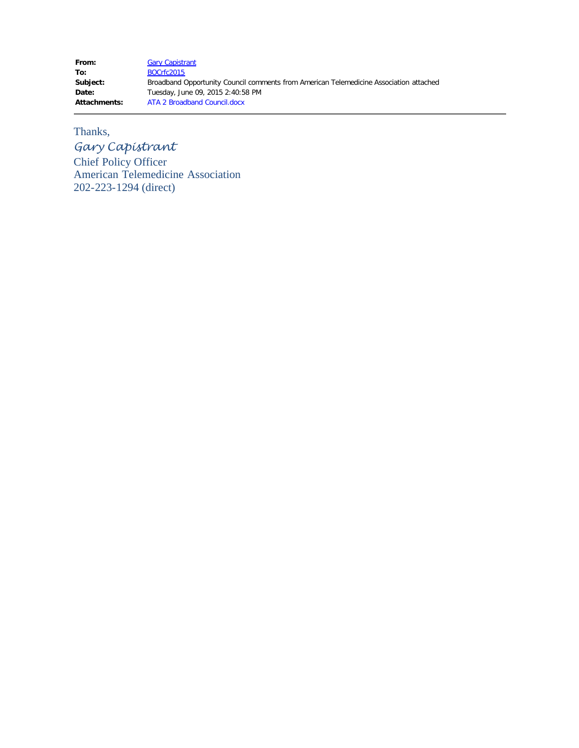From: [Gary Capistrant](mailto:gcapistrant@americantelemed.org) **To:** [BOCrfc2015](mailto:BOCrfc2015@ntia.doc.gov) **Subject:** Broadband Opportunity Council comments from American Telemedicine Association attached **Date:** Tuesday, June 09, 2015 2:40:58 PM **Attachments:** ATA 2 Broadband Council.docx

## Thanks,

*Gary Capistrant*

Chief Policy Officer American Telemedicine Association 202-223-1294 (direct)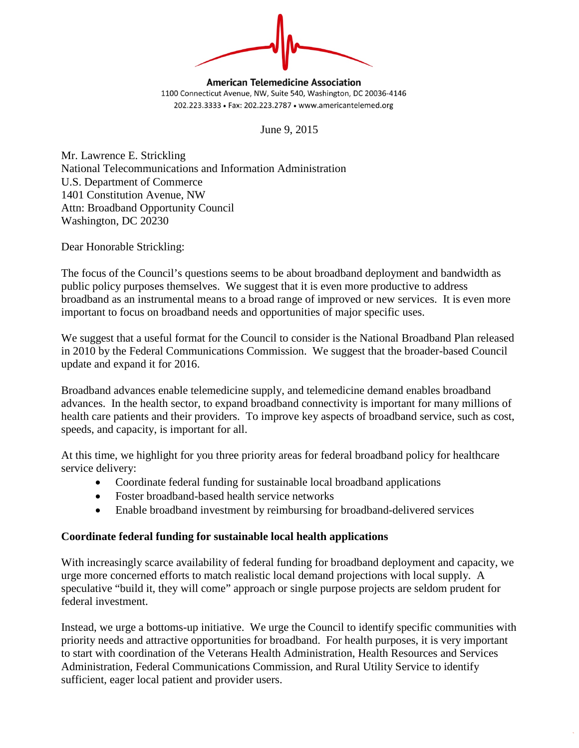

**American Telemedicine Association** 1100 Connecticut Avenue, NW, Suite 540, Washington, DC 20036-4146 202.223.3333 • Fax: 202.223.2787 • www.americantelemed.org

June 9, 2015

Mr. Lawrence E. Strickling National Telecommunications and Information Administration U.S. Department of Commerce 1401 Constitution Avenue, NW Attn: Broadband Opportunity Council Washington, DC 20230

Dear Honorable Strickling:

The focus of the Council's questions seems to be about broadband deployment and bandwidth as public policy purposes themselves. We suggest that it is even more productive to address broadband as an instrumental means to a broad range of improved or new services. It is even more important to focus on broadband needs and opportunities of major specific uses.

We suggest that a useful format for the Council to consider is the National Broadband Plan released in 2010 by the Federal Communications Commission. We suggest that the broader-based Council update and expand it for 2016.

Broadband advances enable telemedicine supply, and telemedicine demand enables broadband advances. In the health sector, to expand broadband connectivity is important for many millions of health care patients and their providers. To improve key aspects of broadband service, such as cost, speeds, and capacity, is important for all.

At this time, we highlight for you three priority areas for federal broadband policy for healthcare service delivery:

- Coordinate federal funding for sustainable local broadband applications
- Foster broadband-based health service networks
- Enable broadband investment by reimbursing for broadband-delivered services

## **Coordinate federal funding for sustainable local health applications**

With increasingly scarce availability of federal funding for broadband deployment and capacity, we urge more concerned efforts to match realistic local demand projections with local supply. A speculative "build it, they will come" approach or single purpose projects are seldom prudent for federal investment.

Instead, we urge a bottoms-up initiative. We urge the Council to identify specific communities with priority needs and attractive opportunities for broadband. For health purposes, it is very important to start with coordination of the Veterans Health Administration, Health Resources and Services Administration, Federal Communications Commission, and Rural Utility Service to identify sufficient, eager local patient and provider users.